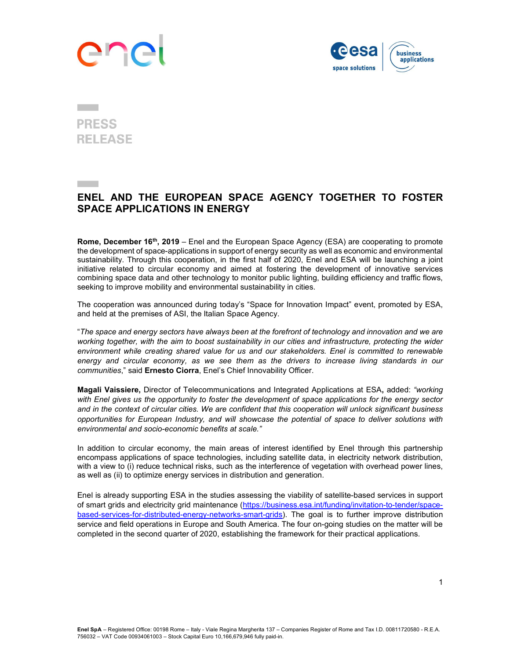# **An**



## **PRESS RELEASE**

## ENEL AND THE EUROPEAN SPACE AGENCY TOGETHER TO FOSTER SPACE APPLICATIONS IN ENERGY

Rome, December 16<sup>th</sup>, 2019 – Enel and the European Space Agency (ESA) are cooperating to promote the development of space-applications in support of energy security as well as economic and environmental sustainability. Through this cooperation, in the first half of 2020, Enel and ESA will be launching a joint initiative related to circular economy and aimed at fostering the development of innovative services combining space data and other technology to monitor public lighting, building efficiency and traffic flows, seeking to improve mobility and environmental sustainability in cities.

The cooperation was announced during today's "Space for Innovation Impact" event, promoted by ESA, and held at the premises of ASI, the Italian Space Agency.

"The space and energy sectors have always been at the forefront of technology and innovation and we are working together, with the aim to boost sustainability in our cities and infrastructure, protecting the wider environment while creating shared value for us and our stakeholders. Enel is committed to renewable energy and circular economy, as we see them as the drivers to increase living standards in our communities," said Ernesto Ciorra, Enel's Chief Innovability Officer.

Magali Vaissiere, Director of Telecommunications and Integrated Applications at ESA, added: "working with Enel gives us the opportunity to foster the development of space applications for the energy sector and in the context of circular cities. We are confident that this cooperation will unlock significant business opportunities for European Industry, and will showcase the potential of space to deliver solutions with environmental and socio-economic benefits at scale."

In addition to circular economy, the main areas of interest identified by Enel through this partnership encompass applications of space technologies, including satellite data, in electricity network distribution, with a view to (i) reduce technical risks, such as the interference of vegetation with overhead power lines, as well as (ii) to optimize energy services in distribution and generation.

Enel is already supporting ESA in the studies assessing the viability of satellite-based services in support of smart grids and electricity grid maintenance (https://business.esa.int/funding/invitation-to-tender/spacebased-services-for-distributed-energy-networks-smart-grids). The goal is to further improve distribution service and field operations in Europe and South America. The four on-going studies on the matter will be completed in the second quarter of 2020, establishing the framework for their practical applications.